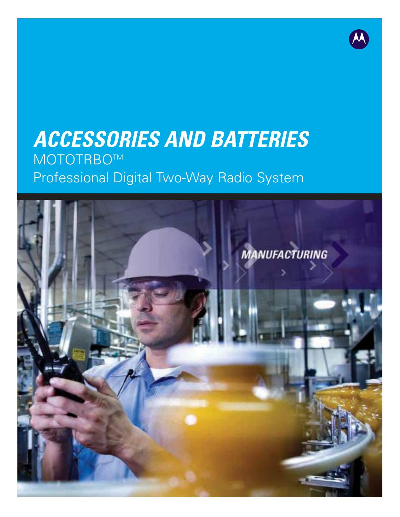# **ACCESSORIES AND BATTERIES** MOTOTRBOTM Professional Digital Two-Way Radio System

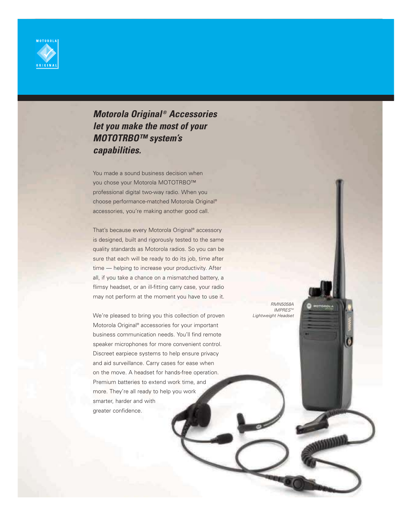

## **Motorola Original ® Accessories let you make the most of your MOTOTRBO™ system's capabilities.**

You made a sound business decision when you chose your Motorola MOTOTRBO™ professional digital two-way radio. When you choose performance-matched Motorola Original® accessories, you're making another good call.

That's because every Motorola Original® accessory is designed, built and rigorously tested to the same quality standards as Motorola radios. So you can be sure that each will be ready to do its job, time after time — helping to increase your productivity. After all, if you take a chance on a mismatched battery, a flimsy headset, or an ill-fitting carry case, your radio may not perform at the moment you have to use it.

We're pleased to bring you this collection of proven Motorola Original® accessories for your important business communication needs. You'll find remote speaker microphones for more convenient control. Discreet earpiece systems to help ensure privacy and aid surveillance. Carry cases for ease when on the move. A headset for hands-free operation. Premium batteries to extend work time, and more. They're all ready to help you work smarter, harder and with greater confidence.

RMN5058A IMPRES™ Lightweight Headset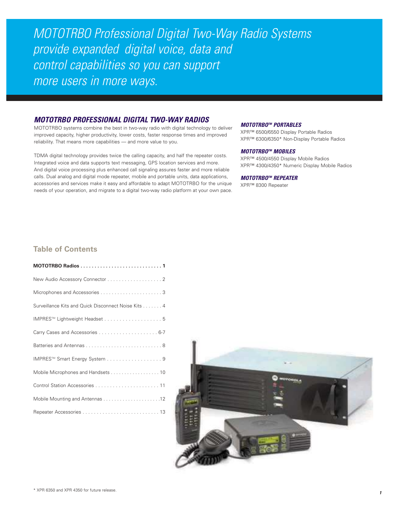MOTOTRBO Professional Digital Two-Way Radio Systems provide expanded digital voice, data and control capabilities so you can support more users in more ways.

### **MOTOTRBO PROFESSIONAL DIGITAL TWO-WAY RADIOS**

MOTOTRBO systems combine the best in two-way radio with digital technology to deliver improved capacity, higher productivity, lower costs, faster response times and improved reliability. That means more capabilities — and more value to you.

TDMA digital technology provides twice the calling capacity, and half the repeater costs. Integrated voice and data supports text messaging, GPS location services and more. And digital voice processing plus enhanced call signaling assures faster and more reliable calls. Dual analog and digital mode repeater, mobile and portable units, data applications, accessories and services make it easy and affordable to adapt MOTOTRBO for the unique needs of your operation, and migrate to a digital two-way radio platform at your own pace.

#### **MOTOTRBO TM PORTABLES**

XPR™ 6500/6550 Display Portable Radios XPR™ 6300/6350\* Non-Display Portable Radios

#### **MOTOTRBO TM MOBILES**

XPR™ 4500/4550 Display Mobile Radios XPR™ 4300/4350\* Numeric Display Mobile Radios

#### **MOTOTRBO TM REPEATER**

XPR™ 8300 Repeater

## **Table of Contents**

| New Audio Accessory Connector 2                     |
|-----------------------------------------------------|
|                                                     |
| Surveillance Kits and Quick Disconnect Noise Kits 4 |
|                                                     |
|                                                     |
|                                                     |
| IMPRES™ Smart Energy System 9                       |
| Mobile Microphones and Handsets 10                  |
|                                                     |
|                                                     |
|                                                     |

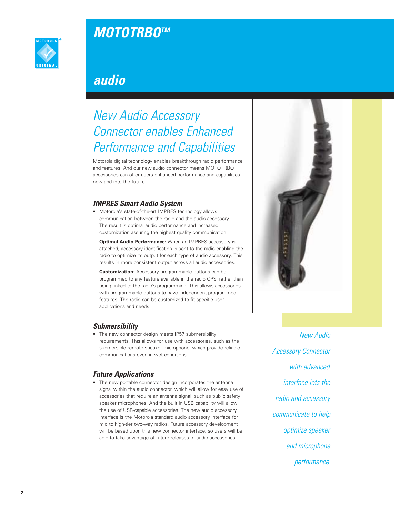# **MOTOTRBO TM**



# **audio**

# New Audio Accessory Connector enables Enhanced Performance and Capabilities

Motorola digital technology enables breakthrough radio performance and features. And our new audio connector means MOTOTRBO accessories can offer users enhanced performance and capabilities now and into the future.

## **IMPRES Smart Audio System**

• Motorola's state-of-the-art IMPRES technology allows communication between the radio and the audio accessory. The result is optimal audio performance and increased customization assuring the highest quality communication.

**Optimal Audio Performance:** When an IMPRES accessory is attached, accessory identification is sent to the radio enabling the radio to optimize its output for each type of audio accessory. This results in more consistent output across all audio accessories.

**Customization:** Accessory programmable buttons can be programmed to any feature available in the radio CPS, rather than being linked to the radio's programming. This allows accessories with programmable buttons to have independent programmed features. The radio can be customized to fit specific user applications and needs.

## **Submersibility**

• The new connector design meets IP57 submersibility requirements. This allows for use with accessories, such as the submersible remote speaker microphone, which provide reliable communications even in wet conditions.

## **Future Applications**

• The new portable connector design incorporates the antenna signal within the audio connector, which will allow for easy use of accessories that require an antenna signal, such as public safety speaker microphones. And the built in USB capability will allow the use of USB-capable accessories. The new audio accessory interface is the Motorola standard audio accessory interface for mid to high-tier two-way radios. Future accessory development will be based upon this new connector interface, so users will be able to take advantage of future releases of audio accessories.

New Audio Accessory Connector with advanced interface lets the radio and accessory communicate to help optimize speaker and microphone performance.

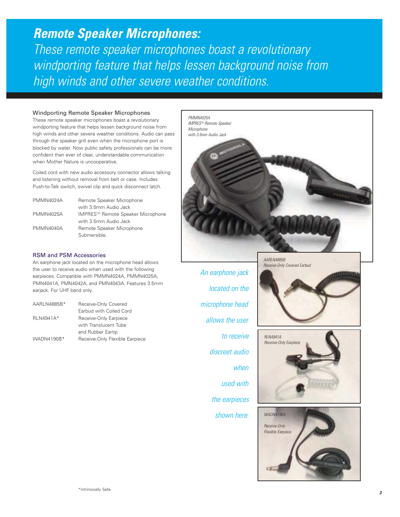**Remote Speaker Microphones:** These remote speaker microphones boast a revolutionary windporting feature that helps lessen background noise from high winds and other severe weather conditions.

### Windporting Remote Speaker Microphones

These remote speaker microphones boast a revolutionary windporting feature that helps lessen background noise from high winds and other severe weather conditions. Audio can pass through the speaker grill even when the microphone port is blocked by water. Now public safety professionals can be more confident than ever of clear, understandable communication when Mother Nature is uncooperative.

Coiled cord with new audio accessory connector allows talking and listening without removal from belt or case. Includes Push-to-Talk switch, swivel clip and quick disconnect latch.

| PMMN4024A | Remote Speaker Microphone         |
|-----------|-----------------------------------|
|           | with 3.5mm Audio Jack             |
| PMMN4025A | IMPRES™ Remote Speaker Microphone |
|           | with 3.5mm Audio Jack             |
| PMMN4040A | Remote Speaker Microphone         |
|           | Submersible.                      |

### RSM and PSM Accessories

An earphone jack located on the microphone head allows the user to receive audio when used with the following earpieces. Compatible with PMMN4024A, PMMN4025A, PMN4041A, PMN4042A, and PMN4043A. Features 3.5mm earjack. For UHF band only.

| AARLN4885B* | Receive-Only Covered           |
|-------------|--------------------------------|
|             | Earbud with Coiled Cord        |
| RLN4941A*   | Receive-Only Earpiece          |
|             | with Translucent Tube          |
|             | and Rubber Eartip              |
| WADN4190B*  | Receive-Only Flexible Earpiece |



An earphone jack located on the microphone head allows the user to receive discreet audio when used with the earpieces shown here.





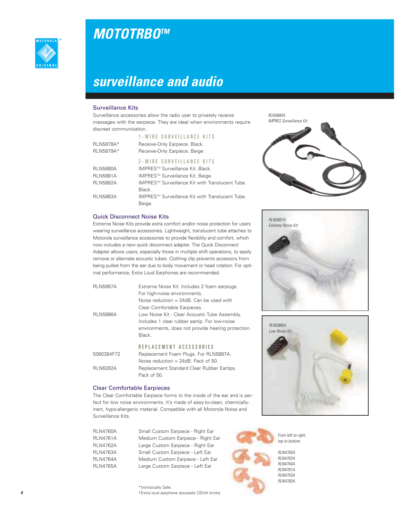



# **surveillance and audio**

### Surveillance Kits

Surveillance accessories allow the radio user to privately receive messages with the earpiece. They are ideal when environments require discreet communication.

| RLN5878A*<br><b>RLN5879A*</b> | 1-WIRE SURVEILLANCE KITS<br>Receive-Only Earpiece. Black.<br>Receive-Only Earpiece. Beige. |
|-------------------------------|--------------------------------------------------------------------------------------------|
|                               | 2-WIRE SURVEILLANCE KITS                                                                   |
| <b>RLN5880A</b>               | IMPRES™ Surveillance Kit. Black.                                                           |
| <b>RLN5881A</b>               | IMPRES™ Surveillance Kit. Beige.                                                           |
| <b>RLN5882A</b>               | IMPRES™ Surveillance Kit with Translucent Tube.                                            |
|                               | Black.                                                                                     |
| <b>RLN5883A</b>               | IMPRES™ Surveillance Kit with Translucent Tube.                                            |
|                               | Beige.                                                                                     |

### Quick Disconnect Noise Kits

Extreme Noise Kits provide extra comfort and/or noise protection for users wearing surveillance accessories. Lightweight, translucent tube attaches to Motorola surveillance accessories to provide flexibility and comfort, which now includes a new quick disconnect adapter. The Quick Disconnect Adapter allows users, especially those in multiple shift operations, to easily remove or alternate acoustic tubes. Clothing clip prevents accessory from being pulled from the ear due to body movement or head rotation. For optimal performance, Extra Loud Earphones are recommended.

| <b>RLN5887A</b> | Extreme Noise Kit. Includes 2 foam earplugs.<br>For high-noise environments. |
|-----------------|------------------------------------------------------------------------------|
|                 | Noise reduction = 24dB. Can be used with                                     |
|                 | Clear Comfortable Earpieces.                                                 |
| <b>RLN5886A</b> | Low Noise Kit - Clear Acoustic Tube Assembly.                                |
|                 | Includes 1 clear rubber eartip. For low-noise                                |
|                 | environments, does not provide hearing protection.                           |
|                 | Black.                                                                       |
|                 | REPLACEMENT ACCESSORIES                                                      |
| 5080384F72      | Replacement Foam Plugs. For RLN5887A.                                        |
|                 | Noise reduction $= 24dB$ . Pack of 50.                                       |
| <b>RLN6282A</b> | Replacement Standard Clear Rubber Eartips.                                   |

## Clear Comfortable Earpieces

Pack of 50.

The Clear Comfortable Earpiece forms to the inside of the ear and is perfect for low noise environments. It's made of easy-to-clean, chemicallyinert, hypo-allergenic material. Compatible with all Motorola Noise and Surveillance Kits.

RLN4760A Small Custom Earpiece - Right Ear RLN4761A Medium Custom Earpiece - Right Ear RLN4762A Large Custom Earpiece - Right Ear RLN4763A Small Custom Earpiece - Left Ear RLN4764A Medium Custom Earpiece - Left Ear RLN4765A Large Custom Earpiece - Left Ear

> \*Intrinsically Safe. †Extra loud earphone (exceeds OSHA limits).









From left to right, top to bottom:

RLN4765A RLN4762A RLN4764A **RIN4761A** RLN4763A RLN4760A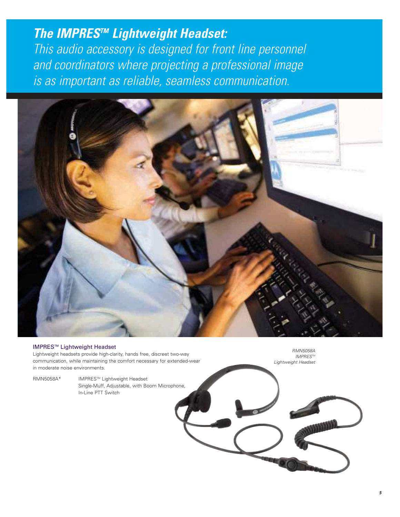## **The IMPRES™ Lightweight Headset:**

This audio accessory is designed for front line personnel and coordinators where projecting a professional image is as important as reliable, seamless communication.



### IMPRESTM Lightweight Headset

Lightweight headsets provide high-clarity, hands free, discreet two-way communication, while maintaining the comfort necessary for extended-wear in moderate noise environments.

RMN5058A\* IMPRESTM Lightweight Headset Single-Muff, Adjustable, with Boom Microphone, In-Line PTT Switch

RMN5058A IMPRES™ Lightweight Headset

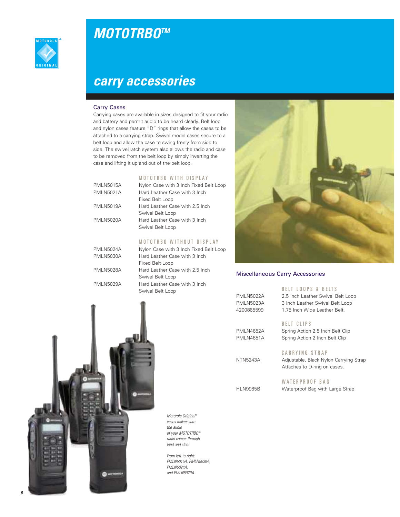

# **MOTOTRBO TM**

# **carry accessories**

### Carry Cases

Carrying cases are available in sizes designed to fit your radio and battery and permit audio to be heard clearly. Belt loop and nylon cases feature "D" rings that allow the cases to be attached to a carrying strap. Swivel model cases secure to a belt loop and allow the case to swing freely from side to side. The swivel latch system also allows the radio and case to be removed from the belt loop by simply inverting the case and lifting it up and out of the belt loop.

### M O T O T R B O W I T H D I S P L A Y

| <b>PMLN5015A</b> | Nylon Case with 3 Inch Fixed Belt Loop |
|------------------|----------------------------------------|
| <b>PMLN5021A</b> | Hard Leather Case with 3 Inch          |
|                  | Fixed Belt Loop                        |
| <b>PMLN5019A</b> | Hard Leather Case with 2.5 Inch        |
|                  | Swivel Belt Loop                       |
| <b>PMLN5020A</b> | Hard Leather Case with 3 Inch          |
|                  | Swivel Belt Loop                       |
|                  |                                        |
|                  |                                        |

## M O T O T R B O W I T H O U T D I S P L A Y

| PMLN5024A        | Nylon Case with 3 Inch Fixed Belt Loop |
|------------------|----------------------------------------|
| <b>PMLN5030A</b> | Hard Leather Case with 3 Inch          |
|                  | Fixed Belt Loop                        |
| <b>PMLN5028A</b> | Hard Leather Case with 2.5 Inch        |
|                  | Swivel Belt Loop                       |
| <b>PMLN5029A</b> | Hard Leather Case with 3 Inch          |
|                  | Swivel Belt Loop                       |



### Miscellaneous Carry Accessories

### B E LT LOOPS & BELTS

| <b>PMLN5022A</b> | 2.5 Inch Leather Swivel Belt Loop |
|------------------|-----------------------------------|
| <b>PMLN5023A</b> | 3 Inch Leather Swivel Belt Loop   |
| 4200865599       | 1.75 Inch Wide Leather Belt.      |

PMLN4652A Spring Action 2.5 Inch Belt Clip

PMLN4651A Spring Action 2 Inch Belt Clip

B E L T C L I P S

## CARRYING STRAP

NTN5243A Adjustable, Black Nylon Carrying Strap Attaches to D-ring on cases.

### WATERPROOF BAG

HLN9985B Waterproof Bag with Large Strap



Motorola Original ® cases makes sure the audio of your MOTOTRBO™ radio comes through loud and clear.

From left to right: PMLN5015A, PMLN5030A, PMLN5024A, and PMLN5029A.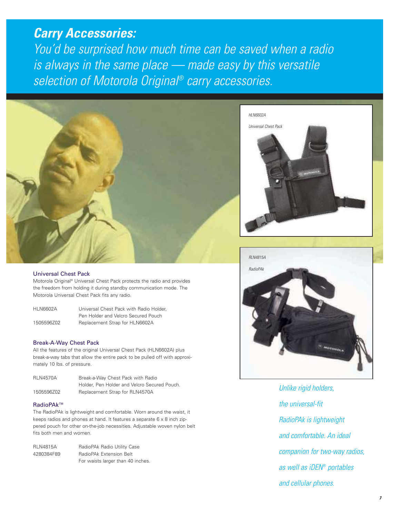# **Carry Accessories:**

You'd be surprised how much time can be saved when a radio is always in the same place — made easy by this versatile selection of Motorola Original ® carry accessories.



### Universal Chest Pack

Motorola Original® Universal Chest Pack protects the radio and provides the freedom from holding it during standby communication mode. The Motorola Universal Chest Pack fits any radio.

HLN6602A Universal Chest Pack with Radio Holder, Pen Holder and Velcro Secured Pouch 1505596Z02 Replacement Strap for HLN6602A

### Break-A-Way Chest Pack

All the features of the original Universal Chest Pack (HLN6602A) plus break-a-way tabs that allow the entire pack to be pulled off with approximately 10 lbs. of pressure.

| <b>RLN4570A</b> | Break-a-Way Chest Pack with Radio            |
|-----------------|----------------------------------------------|
|                 | Holder, Pen Holder and Velcro Secured Pouch. |
| 1505596Z02      | Replacement Strap for RLN4570A               |

### RadioPAk™

The RadioPAk is lightweight and comfortable. Worn around the waist, it keeps radios and phones at hand. It features a separate 6 x 8 inch zippered pouch for other on-the-job necessities. Adjustable woven nylon belt fits both men and women.

| <b>RLN4815A</b> | RadioPAk Radio Utility Case       |
|-----------------|-----------------------------------|
| 4280384F89      | RadioPAk Extension Belt           |
|                 | For waists larger than 40 inches. |





Unlike rigid holders, the universal-fit RadioPAk is lightweight and comfortable. An ideal companion for two-way radios, as well as iDEN ® portables and cellular phones.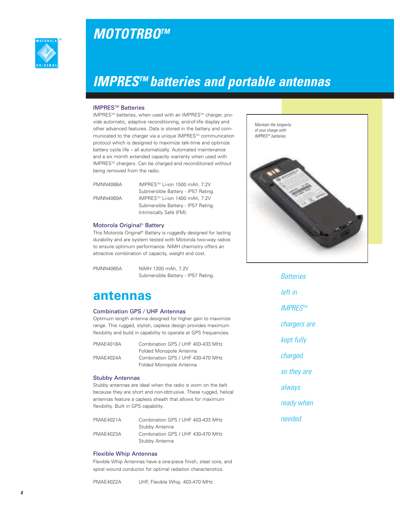



# **IMPRES TM batteries and portable antennas**

### **IMPRES<sup>™</sup> Batteries**

IMPRESTM batteries, when used with an IMPRESTM charger, provide automatic, adaptive reconditioning, end-of-life display and other advanced features. Data is stored in the battery and communicated to the charger via a unique IMPRES™ communication protocol which is designed to maximize talk-time and optimize battery cycle life – all automatically. Automated maintenance and a six month extended capacity warranty when used with IMPRES™ chargers. Can be charged and reconditioned without being removed from the radio.

PMNN4066A IMPRES™ Li-ion 1500 mAh, 7.2V

Submersible Battery - IP57 Rating. PMNN4069A IMPRES™ Li-ion 1400 mAh, 7.2V Submersible Battery - IP57 Rating. Intrinsically Safe (FM).

### Motorola Original® Battery

This Motorola Original® Battery is ruggedly designed for lasting durability and are system tested with Motorola two-way radios to ensure optimum performance. NiMH chemistry offers an attractive combination of capacity, weight and cost.

PMNN4065A NiMH 1300 mAh, 7.2V Submersible Battery - IP57 Rating.

## **antennas**

### Combination GPS / UHF Antennas

Optimum length antenna designed for higher gain to maximize range. This rugged, stylish, capless design provides maximum flexibility and build in capability to operate at GPS frequencies.

| PMAE4018A | Combination GPS / UHF 403-433 MHz |
|-----------|-----------------------------------|
|           | Folded Monopole Antenna           |
| PMAE4024A | Combination GPS / UHF 430-470 MHz |
|           | Folded Monopole Antenna           |

### Stubby Antennas

Stubby antennas are ideal when the radio is worn on the belt because they are short and non-obtrusive. These rugged, helical antennas feature a capless sheath that allows for maximum flexibility. Built in GPS capability.

| <b>PMAE4021A</b> | Combination GPS / UHF 403-433 MHz |
|------------------|-----------------------------------|
|                  | Stubby Antenna                    |
| <b>PMAE4023A</b> | Combination GPS / UHF 430-470 MHz |
|                  | Stubby Antenna                    |

### Flexible Whip Antennas

Flexible Whip Antennas have a one-piece finish, steel core, and spiral wound conductor for optimal radiation characteristics.

PMAE4022A UHF, Flexible Whip, 403-470 MHz



**Batteries** left in IMPRES™ chargers are kept fully charged so they are always ready when needed.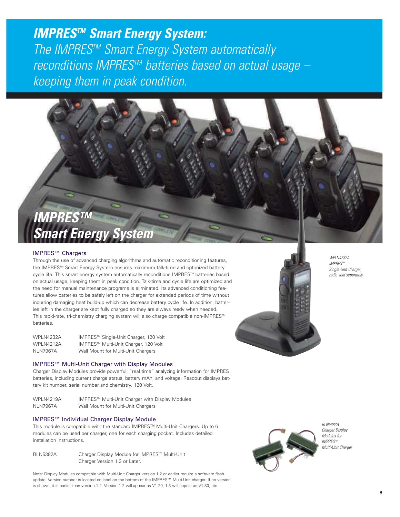# **IMPRES TM Smart Energy System:** The IMPRES™ Smart Energy System automatically reconditions IMPRES™ batteries based on actual usage keeping them in peak condition.

# **IMPRES™ Smart Energy System**

## IMPRES™ Chargers

Through the use of advanced charging algorithms and automatic reconditioning features, the IMPRESTM Smart Energy System ensures maximum talk-time and optimized battery cycle life. This smart energy system automatically reconditions IMPRES™ batteries based on actual usage, keeping them in peak condition. Talk-time and cycle life are optimized and the need for manual maintenance programs is eliminated. Its advanced conditioning features allow batteries to be safely left on the charger for extended periods of time without incurring damaging heat build-up which can decrease battery cycle life. In addition, batteries left in the charger are kept fully charged so they are always ready when needed. This rapid-rate, tri-chemistry charging system will also charge compatible non-IMPRES™ batteries.

| WPLN4232A        | IMPRES™ Single-Unit Charger, 120 Volt |
|------------------|---------------------------------------|
| <b>WPLN4212A</b> | IMPRES™ Multi-Unit Charger, 120 Volt  |
| <b>NLN7967A</b>  | Wall Mount for Multi-Unit Chargers    |

### IMPRES™ Multi-Unit Charger with Display Modules

Charger Display Modules provide powerful, "real time" analyzing information for IMPRES batteries, including current charge status, battery mAh, and voltage. Readout displays battery kit number, serial number and chemistry. 120 Volt.

WPLN4219A IMPRES™ Multi-Unit Charger with Display Modules NLN7967A Wall Mount for Multi-Unit Chargers

### IMPRES™ Individual Charger Display Module

This module is compatible with the standard IMPRES™ Multi-Unit Chargers. Up to 6 modules can be used per charger, one for each charging pocket. Includes detailed installation instructions.

RLN5382A Charger Display Module for IMPRES™ Multi-Unit Charger Version 1.3 or Later.

Note: Display Modules compatible with Multi-Unit Charger version 1.2 or earlier require a software flash update. Version number is located on label on the bottom of the IMPRES™ Multi-Unit charger. If no version is shown, it is earlier than version 1.2. Version 1.2 will appear as V1.20, 1.3 will appear as V1.30, etc.



RLN5382A Charger Display Modules for IMPRFS™ Multi-Unit Charger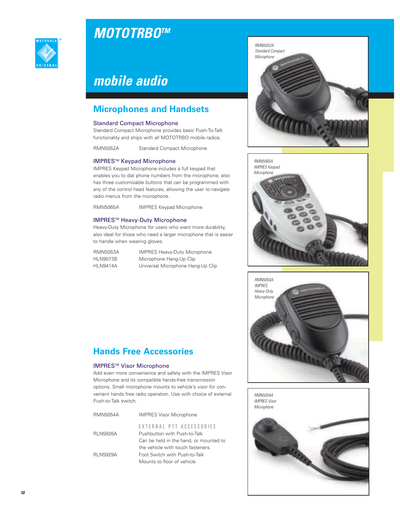



## **Microphones and Handsets**

### Standard Compact Microphone

Standard Compact Microphone provides basic Push-To-Talk functionality and ships with all MOTOTRBO mobile radios.

RMN5052A Standard Compact Microphone

### IMPRESTM Keypad Microphone

IMPRES Keypad Microphone includes a full keypad that enables you to dial phone numbers from the microphone, also has three customizable buttons that can be programmed with any of the control head features, allowing the user to navigate radio menus from the microphone.

RMN5065A IMPRES Keypad Microphone

## IMPRESTM Heavy-Duty Microphone

Heavy-Duty Microphone for users who want more durability, also ideal for those who need a larger microphone that is easier to handle when wearing gloves.

RMN5053A IMPRES Heavy-Duty Microphone HLN9073B Microphone Hang-Up Clip HLN9414A Universal Microphone Hang-Up Clip



### IMPRESTM Visor Microphone

Add even more convenience and safety with the IMPRES Visor Microphone and its compatible hands-free transmission options. Small microphone mounts to vehicle's visor for convenient hands free radio operation. Use with choice of external Push-to-Talk switch.

| RMN5054A        | <b>IMPRES Visor Microphone</b>                           |
|-----------------|----------------------------------------------------------|
| <b>RLN5926A</b> | EXTERNAL PTT ACCESSORIES<br>Pushbutton with Push-to-Talk |
|                 | Can be held in the hand, or mounted to                   |
|                 | the vehicle with touch fasteners.                        |
| <b>RLN5929A</b> | Foot Switch with Push-to-Talk                            |
|                 | Mounts to floor of vehicle                               |







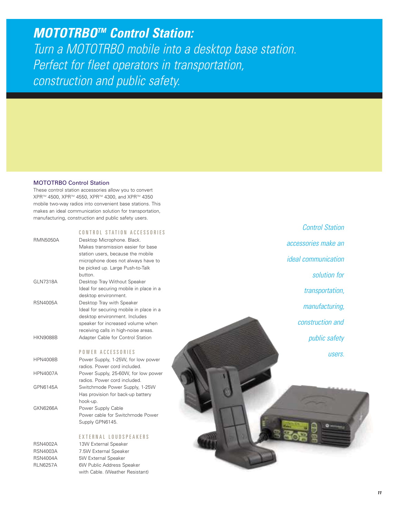**MOTOTRBO TM Control Station:** Turn a MOTOTRBO mobile into a desktop base station. Perfect for fleet operators in transportation, construction and public safety.

### MOTOTRBO Control Station

These control station accessories allow you to convert XPR™ 4500, XPR™ 4550, XPR™ 4300, and XPR™ 4350 mobile two-way radios into convenient base stations. This makes an ideal communication solution for transportation, manufacturing, construction and public safety users.

|                 | CONTROL STATION ACCESSORIES             |
|-----------------|-----------------------------------------|
| <b>RMN5050A</b> | Desktop Microphone. Black.              |
|                 | Makes transmission easier for base      |
|                 | station users, because the mobile       |
|                 | microphone does not always have to      |
|                 | be picked up. Large Push-to-Talk        |
|                 | button.                                 |
| GLN7318A        | Desktop Tray Without Speaker            |
|                 | Ideal for securing mobile in place in a |
|                 | desktop environment.                    |
| <b>RSN4005A</b> | Desktop Tray with Speaker               |
|                 | Ideal for securing mobile in place in a |
|                 | desktop environment. Includes           |
|                 | speaker for increased volume when       |
|                 | receiving calls in high-noise areas.    |
| <b>HKN9088B</b> | Adapter Cable for Control Station       |
|                 | POWER ACCESSORIES                       |
| <b>HPN4008B</b> | Power Supply, 1-25W, for low power      |
|                 | radios. Power cord included.            |
| <b>HPN4007A</b> | Power Supply, 25-60W, for low power     |
|                 | radios. Power cord included.            |
| GPN6145A        | Switchmode Power Supply, 1-25W          |
|                 | Has provision for back-up battery       |
|                 | hook-up.                                |
| GKN6266A        | Power Supply Cable                      |
|                 | Power cable for Switchmode Power        |
|                 | Supply GPN6145.                         |
|                 |                                         |

#### EXTERNAL LOUDSPEAKERS

RSN4002A 13W External Speaker RSN4003A 7.5W External Speaker RSN4004A 5W External Speaker RLN6257A 6W Public Address Speaker with Cable. (Weather Resistant)

Control Station accessories make an ideal communication solution for transportation, manufacturing, construction and public safety users.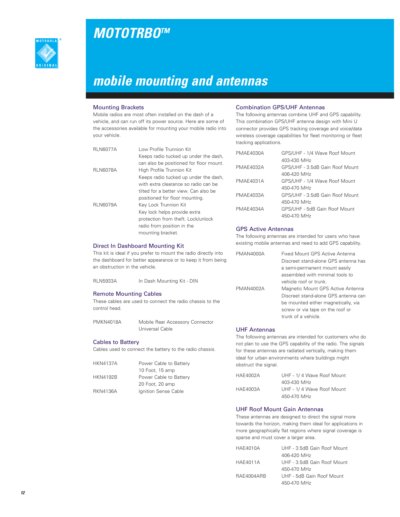

# **MOTOTRBO TM**

# **mobile mounting and antennas**

### Mounting Brackets

Mobile radios are most often installed on the dash of a vehicle, and can run off its power source. Here are some of the accessories available for mounting your mobile radio into your vehicle.

| <b>RLN6077A</b> | Low Profile Trunnion Kit                |
|-----------------|-----------------------------------------|
|                 | Keeps radio tucked up under the dash,   |
|                 | can also be positioned for floor mount. |
| <b>RLN6078A</b> | High Profile Trunnion Kit               |
|                 | Keeps radio tucked up under the dash,   |
|                 | with extra clearance so radio can be    |
|                 | tilted for a better view. Can also be   |
|                 | positioned for floor mounting.          |
| <b>RLN6079A</b> | Key Lock Trunnion Kit                   |
|                 | Key lock helps provide extra            |
|                 | protection from theft. Lock/unlock      |
|                 | radio from position in the              |
|                 | mounting bracket.                       |

### Direct In Dashboard Mounting Kit

This kit is ideal if you prefer to mount the radio directly into the dashboard for better appearance or to keep it from being an obstruction in the vehicle.

| <b>RLN5933A</b> | In Dash Mounting Kit - DIN |
|-----------------|----------------------------|
|-----------------|----------------------------|

### Remote Mounting Cables

These cables are used to connect the radio chassis to the control head.

| PMKN4018A | Mobile Rear Accessory Connector |
|-----------|---------------------------------|
|           | Universal Cable                 |

### Cables to Battery

Cables used to connect the battery to the radio chassis.

| <b>HKN4137A</b> | Power Cable to Battery |
|-----------------|------------------------|
|                 | 10 Foot, 15 amp        |
| <b>HKN4192B</b> | Power Cable to Battery |
|                 | 20 Foot, 20 amp        |
| <b>RKN4136A</b> | Ignition Sense Cable   |

### Combination GPS/UHF Antennas

The following antennas combine UHF and GPS capability. This combination GPS/UHF antenna design with Mini U connector provides GPS tracking coverage and voice/data wireless coverage capabilities for fleet monitoring or fleet tracking applications.

| PMAE4030A | GPS/UHF - 1/4 Wave Roof Mount   |
|-----------|---------------------------------|
|           | 403-430 MHz                     |
| PMAE4032A | GPS/UHF - 3.5dB Gain Roof Mount |
|           | 406-420 MHz                     |
| PMAE4031A | GPS/UHF - 1/4 Wave Roof Mount   |
|           | 450-470 MHz                     |
| PMAE4033A | GPS/UHF - 3.5dB Gain Roof Mount |
|           | 450-470 MHz                     |
| PMAE4034A | GPS/UHF - 5dB Gain Roof Mount   |
|           | 450-470 MHz                     |

### GPS Active Antennas

The following antennas are intended for users who have existing mobile antennas and need to add GPS capability.

| PMAN4000A | Fixed Mount GPS Active Antenna       |
|-----------|--------------------------------------|
|           | Discreet stand-alone GPS antenna has |
|           | a semi-permanent mount easily        |
|           | assembled with minimal tools to      |
|           | vehicle roof or trunk.               |
| PMAN4002A | Magnetic Mount GPS Active Antenna    |
|           | Discreet stand-alone GPS antenna can |
|           | be mounted either magnetically, via  |
|           | screw or via tape on the roof or     |
|           | trunk of a vehicle.                  |

### UHF Antennas

The following antennas are intended for customers who do not plan to use the GPS capability of the radio. The signals for these antennas are radiated vertically, making them ideal for urban environments where buildings might obstruct the signal.

| HAE4002A | UHF - 1/4 Wave Roof Mount |
|----------|---------------------------|
|          | 403-430 MHz               |
| HAE4003A | UHF - 1/4 Wave Roof Mount |
|          | 450-470 MHz               |

## UHF Roof Mount Gain Antennas

These antennas are designed to direct the signal more towards the horizon, making them ideal for applications in more geographically flat regions where signal coverage is sparse and must cover a larger area.

| <b>HAE4010A</b> | UHF - 3.5dB Gain Roof Mount |
|-----------------|-----------------------------|
|                 | 406-420 MHz                 |
| <b>HAE4011A</b> | UHF - 3.5dB Gain Roof Mount |
|                 | 450-470 MHz                 |
| RAE4004ARB      | UHF - 5dB Gain Roof Mount   |
|                 | 450-470 MHz                 |